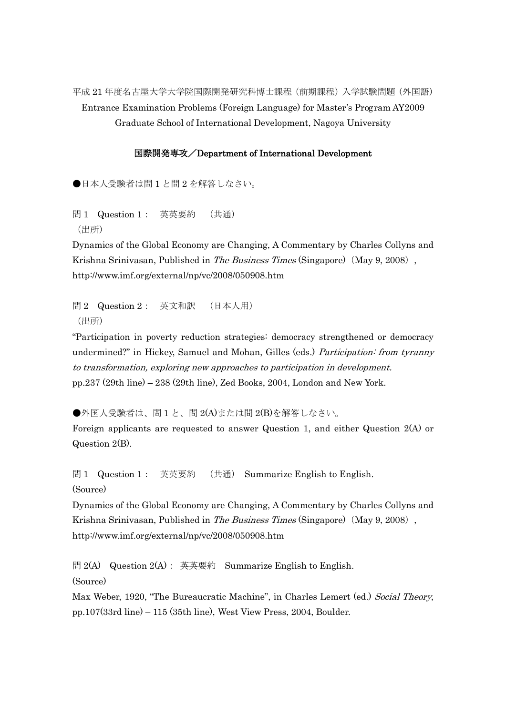平成 21 年度名古屋大学大学院国際開発研究科博士課程(前期課程)入学試験問題(外国語) Entrance Examination Problems (Foreign Language) for Master's Program AY2009 Graduate School of International Development, Nagoya University

## 国際開発専攻/Department of International Development

●日本人受験者は問1と問2を解答しなさい。

問 1 Question 1: 英英要約 (共通) (出所)

Dynamics of the Global Economy are Changing, A Commentary by Charles Collyns and Krishna Srinivasan, Published in *The Business Times* (Singapore) (May 9, 2008), http://www.imf.org/external/np/vc/2008/050908.htm

問 2 Question 2 : 英文和訳 (日本人用) (出所)

"Participation in poverty reduction strategies: democracy strengthened or democracy undermined?" in Hickey, Samuel and Mohan, Gilles (eds.) Participation: from tyranny to transformation, exploring new approaches to participation in development. pp.237 (29th line) – 238 (29th line), Zed Books, 2004, London and New York.

●外国人受験者は、問1と、問2(A)または問2(B)を解答しなさい。

Foreign applicants are requested to answer Question 1, and either Question 2(A) or Question 2(B).

問 1 Question 1: 英英要約 (共通) Summarize English to English. (Source)

Dynamics of the Global Economy are Changing, A Commentary by Charles Collyns and Krishna Srinivasan, Published in The Business Times (Singapore) (May 9, 2008), http://www.imf.org/external/np/vc/2008/050908.htm

問 2(A) Question 2(A): 英英要約 Summarize English to English.

(Source)

Max Weber, 1920, "The Bureaucratic Machine", in Charles Lemert (ed.) Social Theory, pp.107(33rd line) – 115 (35th line), West View Press, 2004, Boulder.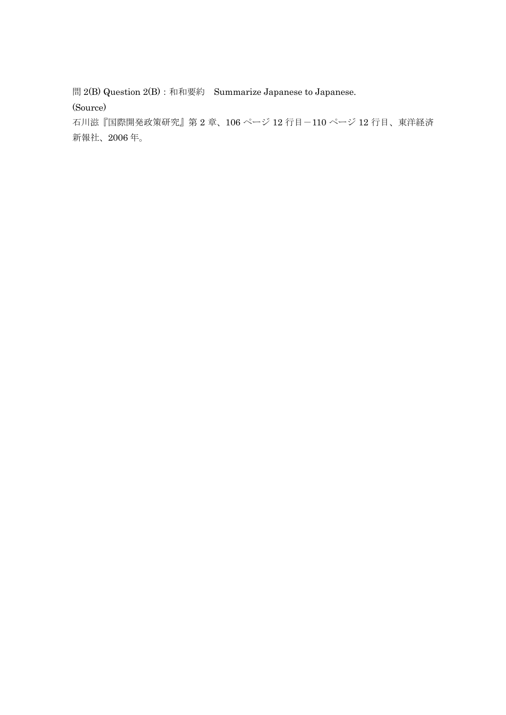問 2(B) Question 2(B): 和和要約 Summarize Japanese to Japanese.

(Source)

石川滋『国際開発政策研究』第 2 章、106 ページ 12 行目-110 ページ 12 行目、東洋経済 新報社、2006 年。